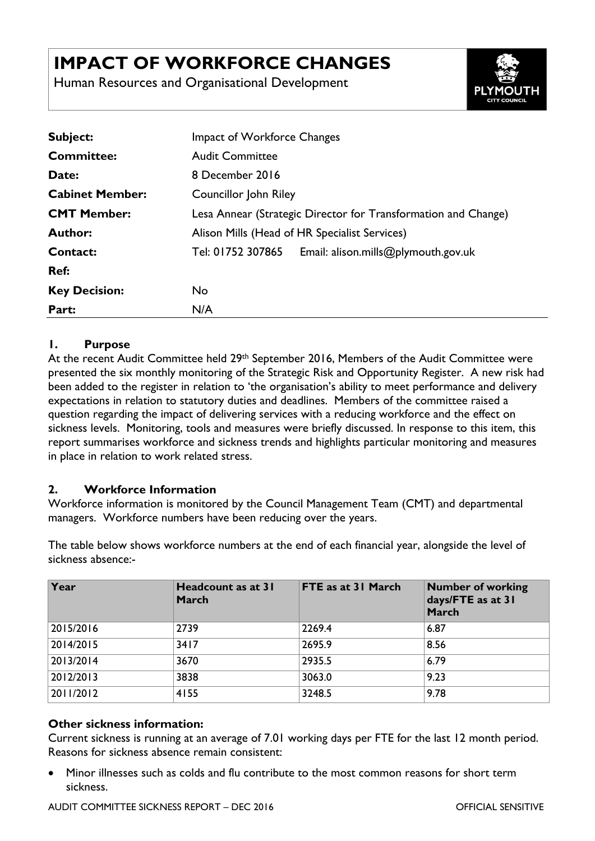# **IMPACT OF WORKFORCE CHANGES**

Human Resources and Organisational Development



| <b>Subject:</b>        | <b>Impact of Workforce Changes</b>                             |  |  |
|------------------------|----------------------------------------------------------------|--|--|
| <b>Committee:</b>      | <b>Audit Committee</b>                                         |  |  |
| Date:                  | 8 December 2016                                                |  |  |
| <b>Cabinet Member:</b> | Councillor John Riley                                          |  |  |
| <b>CMT Member:</b>     | Lesa Annear (Strategic Director for Transformation and Change) |  |  |
| <b>Author:</b>         | Alison Mills (Head of HR Specialist Services)                  |  |  |
| Contact:               | Tel: 01752 307865<br>Email: alison.mills@plymouth.gov.uk       |  |  |
| Ref:                   |                                                                |  |  |
| <b>Key Decision:</b>   | No                                                             |  |  |
| Part:                  | N/A                                                            |  |  |

### **1. Purpose**

At the recent Audit Committee held 29<sup>th</sup> September 2016, Members of the Audit Committee were presented the six monthly monitoring of the Strategic Risk and Opportunity Register. A new risk had been added to the register in relation to 'the organisation's ability to meet performance and delivery expectations in relation to statutory duties and deadlines. Members of the committee raised a question regarding the impact of delivering services with a reducing workforce and the effect on sickness levels. Monitoring, tools and measures were briefly discussed. In response to this item, this report summarises workforce and sickness trends and highlights particular monitoring and measures in place in relation to work related stress.

## **2. Workforce Information**

Workforce information is monitored by the Council Management Team (CMT) and departmental managers. Workforce numbers have been reducing over the years.

The table below shows workforce numbers at the end of each financial year, alongside the level of sickness absence:-

| Year      | Headcount as at 31<br><b>March</b> | FTE as at 31 March | <b>Number of working</b><br>days/FTE as at 31<br><b>March</b> |
|-----------|------------------------------------|--------------------|---------------------------------------------------------------|
| 2015/2016 | 2739                               | 2269.4             | 6.87                                                          |
| 2014/2015 | 3417                               | 2695.9             | 8.56                                                          |
| 2013/2014 | 3670                               | 2935.5             | 6.79                                                          |
| 2012/2013 | 3838                               | 3063.0             | 9.23                                                          |
| 2011/2012 | 4155                               | 3248.5             | 9.78                                                          |

#### **Other sickness information:**

Current sickness is running at an average of 7.01 working days per FTE for the last 12 month period. Reasons for sickness absence remain consistent:

 Minor illnesses such as colds and flu contribute to the most common reasons for short term sickness.